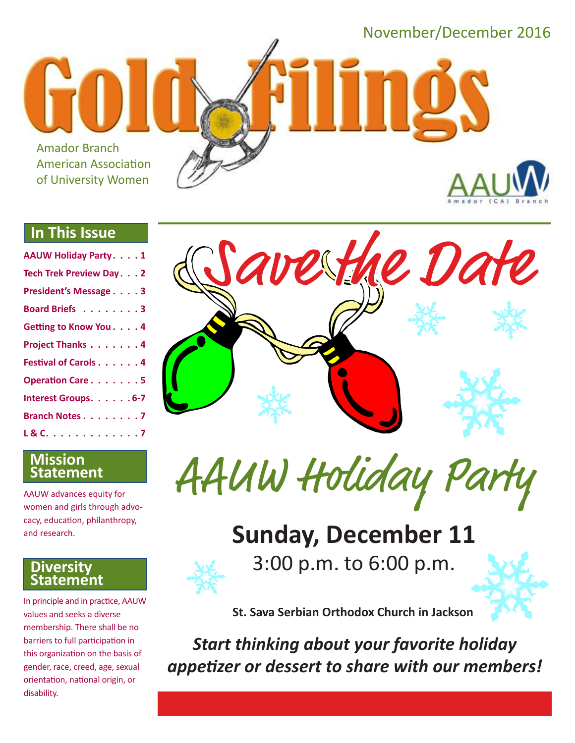November/December 2016

Amador Branch American Association of University Women

#### **In This Issue**

| <b>AAUW Holiday Party. 1</b> |
|------------------------------|
| Tech Trek Preview Day. 2     |
| President's Message 3        |
| Board Briefs 3               |
| Getting to Know You. 4       |
| Project Thanks 4             |
| <b>Festival of Carols 4</b>  |
| Operation Care. 5            |
| Interest Groups. 6-7         |
| Branch Notes 7               |
| L & C. 7                     |



AAUW advances equity for women and girls through advocacy, education, philanthropy, and research.

#### **Diversity Statement**

In principle and in practice, AAUW values and seeks a diverse membership. There shall be no barriers to full participation in this organization on the basis of gender, race, creed, age, sexual orientation, national origin, or disability.





## **Sunday, December 11**



3:00 p.m. to 6:00 p.m.



**St. Sava Serbian Orthodox Church in Jackson**

*Start thinking about your favorite holiday appetizer or dessert to share with our members!*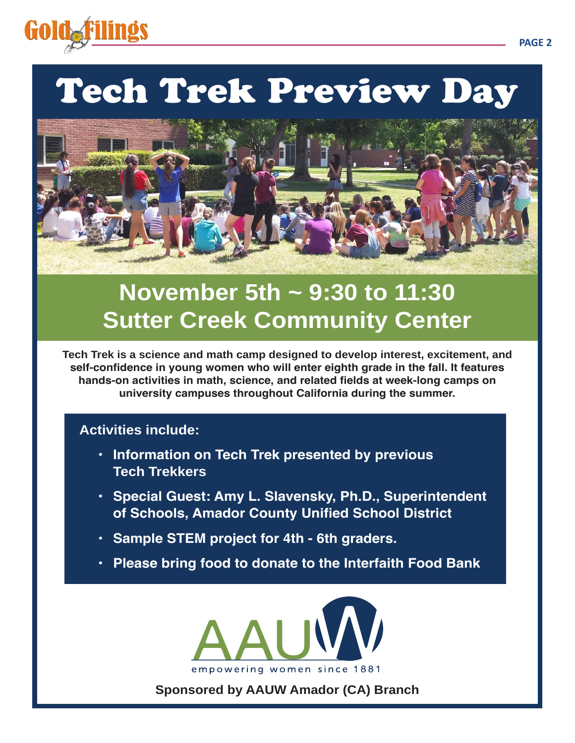

## Tech Trek Preview Day



## **November 5th ~ 9:30 to 11:30 Sutter Creek Community Center**

**Tech Trek is a science and math camp designed to develop interest, excitement, and self-confidence in young women who will enter eighth grade in the fall. It features hands-on activities in math, science, and related fields at week-long camps on university campuses throughout California during the summer.**

#### **Activities include:**

- **• Information on Tech Trek presented by previous Tech Trekkers**
- **• Special Guest: Amy L. Slavensky, Ph.D., Superintendent of Schools, Amador County Unified School District**
- **• Sample STEM project for 4th 6th graders.**
- **• Please bring food to donate to the Interfaith Food Bank**



**Sponsored by AAUW Amador (CA) Branch**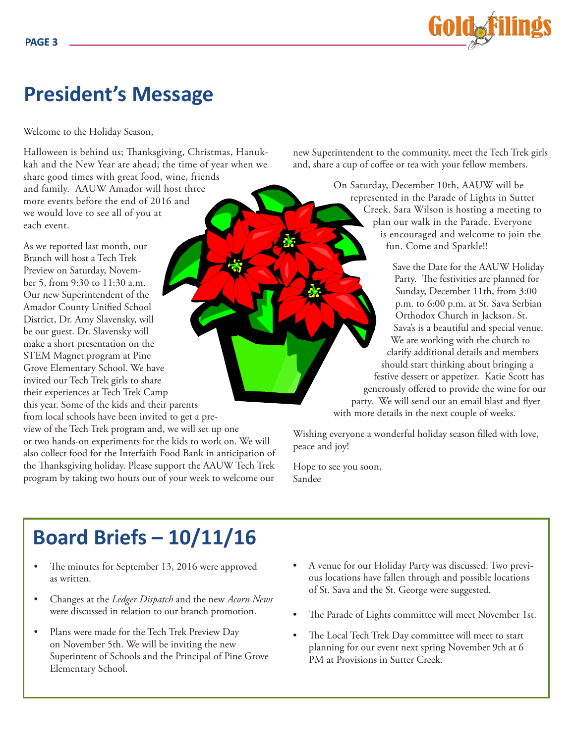

## **President's Message**

Welcome to the Holiday Season,

Halloween is behind us; Thanksgiving, Christmas, Hanukkah and the New Year are ahead; the time of year when we share good times with great food, wine, friends and family. AAUW Amador will host three more events before the end of 2016 and we would love to see all of you at each event.

As we reported last month, our Branch will host a Tech Trek Preview on Saturday, November 5, from 9:30 to 11:30 a.m. Our new Superintendent of the Amador County Unified School District, Dr. Amy Slavensky, will be our guest. Dr. Slavensky will make a short presentation on the STEM Magnet program at Pine Grove Elementary School. We have invited our Tech Trek girls to share their experiences at Tech Trek Camp this year. Some of the kids and their parents

from local schools have been invited to get a preview of the Tech Trek program and, we will set up one or two hands-on experiments for the kids to work on. We will also collect food for the Interfaith Food Bank in anticipation of the Thanksgiving holiday. Please support the AAUW Tech Trek

program by taking two hours out of your week to welcome our

new Superintendent to the community, meet the Tech Trek girls and, share a cup of coffee or tea with your fellow members.

> On Saturday, December 10th, AAUW will be represented in the Parade of Lights in Sutter Creek. Sara Wilson is hosting a meeting to plan our walk in the Parade. Everyone is encouraged and welcome to join the fun. Come and Sparkle!!

Save the Date for the AAUW Holiday Party. The festivities are planned for Sunday, December 11th, from 3:00 p.m. to 6:00 p.m. at St. Sava Serbian Orthodox Church in Jackson. St. Sava's is a beautiful and special venue. We are working with the church to clarify additional details and members should start thinking about bringing a festive dessert or appetizer. Katie Scott has generously offered to provide the wine for our party. We will send out an email blast and flyer with more details in the next couple of weeks.

Wishing everyone a wonderful holiday season filled with love, peace and joy!

Hope to see you soon, Sandee

## **Board Briefs – 10/11/16**

- The minutes for September 13, 2016 were approved as written.
- Changes at the *Ledger Dispatch* and the new *Acorn News* were discussed in relation to our branch promotion.
- Plans were made for the Tech Trek Preview Day on November 5th. We will be inviting the new Superintent of Schools and the Principal of Pine Grove Elementary School.
- A venue for our Holiday Party was discussed. Two previous locations have fallen through and possible locations of St. Sava and the St. George were suggested.
- The Parade of Lights committee will meet November 1st.
- The Local Tech Trek Day committee will meet to start planning for our event next spring November 9th at 6 PM at Provisions in Sutter Creek.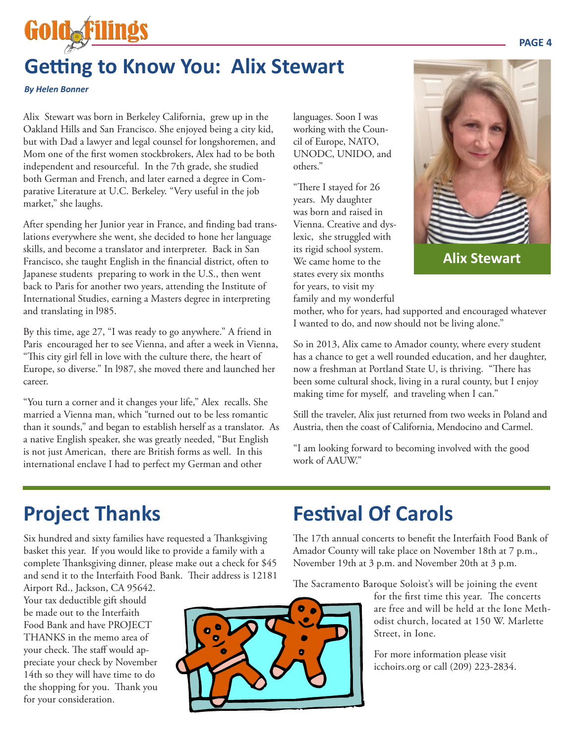## **Getting to Know You: Alix Stewart**

*By Helen Bonner*

Goldsfi

Alix Stewart was born in Berkeley California, grew up in the Oakland Hills and San Francisco. She enjoyed being a city kid, but with Dad a lawyer and legal counsel for longshoremen, and Mom one of the first women stockbrokers, Alex had to be both independent and resourceful. In the 7th grade, she studied both German and French, and later earned a degree in Comparative Literature at U.C. Berkeley. "Very useful in the job market," she laughs.

After spending her Junior year in France, and finding bad translations everywhere she went, she decided to hone her language skills, and become a translator and interpreter. Back in San Francisco, she taught English in the financial district, often to Japanese students preparing to work in the U.S., then went back to Paris for another two years, attending the Institute of International Studies, earning a Masters degree in interpreting and translating in l985.

By this time, age 27, "I was ready to go anywhere." A friend in Paris encouraged her to see Vienna, and after a week in Vienna, "This city girl fell in love with the culture there, the heart of Europe, so diverse." In l987, she moved there and launched her career.

"You turn a corner and it changes your life," Alex recalls. She married a Vienna man, which "turned out to be less romantic than it sounds," and began to establish herself as a translator. As a native English speaker, she was greatly needed, "But English is not just American, there are British forms as well. In this international enclave I had to perfect my German and other

languages. Soon I was working with the Council of Europe, NATO, UNODC, UNIDO, and others."

"There I stayed for 26 years. My daughter was born and raised in Vienna. Creative and dyslexic, she struggled with its rigid school system. We came home to the states every six months for years, to visit my family and my wonderful



mother, who for years, had supported and encouraged whatever I wanted to do, and now should not be living alone."

So in 2013, Alix came to Amador county, where every student has a chance to get a well rounded education, and her daughter, now a freshman at Portland State U, is thriving. "There has been some cultural shock, living in a rural county, but I enjoy making time for myself, and traveling when I can."

Still the traveler, Alix just returned from two weeks in Poland and Austria, then the coast of California, Mendocino and Carmel.

"I am looking forward to becoming involved with the good work of AAUW."

## **Project Thanks**

Six hundred and sixty families have requested a Thanksgiving basket this year. If you would like to provide a family with a complete Thanksgiving dinner, please make out a check for \$45 and send it to the Interfaith Food Bank. Their address is 12181

Airport Rd., Jackson, CA 95642. Your tax deductible gift should be made out to the Interfaith Food Bank and have PROJECT THANKS in the memo area of your check. The staff would appreciate your check by November 14th so they will have time to do the shopping for you. Thank you for your consideration.



## **Festival Of Carols**

The 17th annual concerts to benefit the Interfaith Food Bank of Amador County will take place on November 18th at 7 p.m., November 19th at 3 p.m. and November 20th at 3 p.m.

The Sacramento Baroque Soloist's will be joining the event

for the first time this year. The concerts are free and will be held at the Ione Methodist church, located at 150 W. Marlette Street, in Ione.

For more information please visit icchoirs.org or call (209) 223-2834.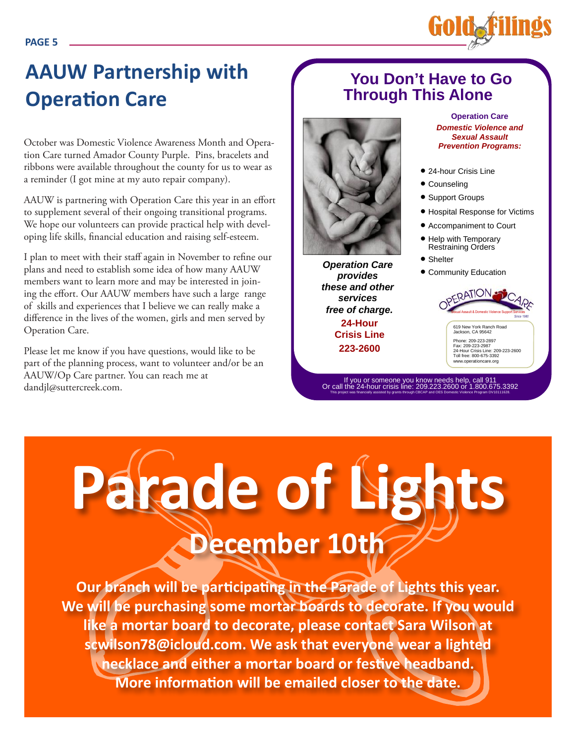

October was Domestic Violence Awareness Month and Operation Care turned Amador County Purple. Pins, bracelets and ribbons were available throughout the county for us to wear as a reminder (I got mine at my auto repair company).

AAUW is partnering with Operation Care this year in an effort to supplement several of their ongoing transitional programs. We hope our volunteers can provide practical help with developing life skills, financial education and raising self-esteem.

I plan to meet with their staff again in November to refine our plans and need to establish some idea of how many AAUW members want to learn more and may be interested in joining the effort. Our AAUW members have such a large range of skills and experiences that I believe we can really make a difference in the lives of the women, girls and men served by Operation Care.

Please let me know if you have questions, would like to be part of the planning process, want to volunteer and/or be an AAUW/Op Care partner. You can reach me at dandjl@suttercreek.com.

#### **You Don't Have to Go Through This Alone**



**Operation Care provides these and other services free of charge. 24-Hour Crisis Line 223-2600**

If you or someone you know needs help, call 911 Or call the 24-hour crisis line: 209.223.2600 or 1.800.675.3392 This project was financially assisted by grants through CBCAP and OES Domestic Violence Program DV10111628.

**Operation Care Domestic Violence and Sexual Assault Prevention Programs:**

● 24-hour Crisis Line

**Golda** 

- Counseling
- Support Groups
- Hospital Response for Victims
- Accompaniment to Court
- Help with Temporary Restraining Orders
- Shelter
- **Community Education**



# **Parade of Lights December 10th**

**Our branch will be participating in the Parade of Lights this year. We will be purchasing some mortar boards to decorate. If you would like a mortar board to decorate, please contact Sara Wilson at scwilson78@icloud.com. We ask that everyone wear a lighted necklace and either a mortar board or festive headband. More information will be emailed closer to the date.**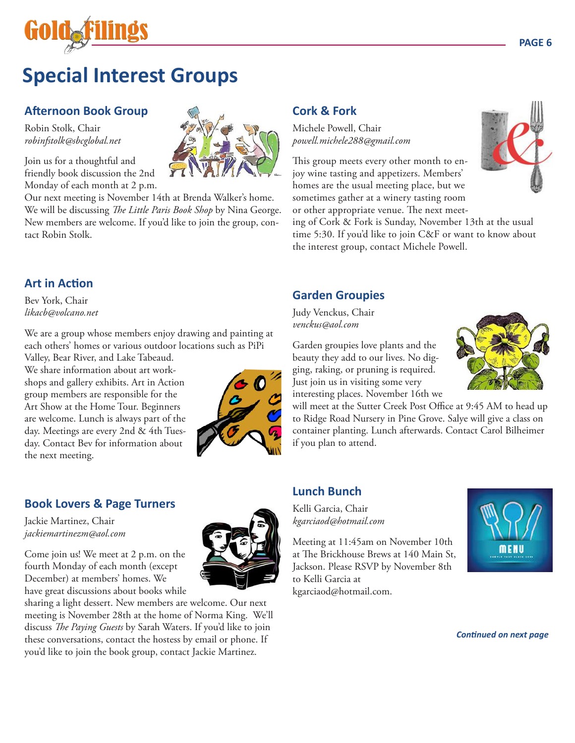

## **Special Interest Groups**

#### **Afternoon Book Group**

Robin Stolk, Chair *robinfstolk@sbcglobal.net*

Join us for a thoughtful and friendly book discussion the 2nd Monday of each month at 2 p.m.

Our next meeting is November 14th at Brenda Walker's home. We will be discussing *The Little Paris Book Shop* by Nina George. New members are welcome. If you'd like to join the group, contact Robin Stolk.

#### **Art in Action**

Bev York, Chair *likacb@volcano.net*

We are a group whose members enjoy drawing and painting at each others' homes or various outdoor locations such as PiPi

Valley, Bear River, and Lake Tabeaud. We share information about art workshops and gallery exhibits. Art in Action group members are responsible for the Art Show at the Home Tour. Beginners are welcome. Lunch is always part of the day. Meetings are every 2nd & 4th Tuesday. Contact Bev for information about the next meeting.



#### **Book Lovers & Page Turners**

Jackie Martinez, Chair *jackiemartinezm@aol.com*

Come join us! We meet at 2 p.m. on the fourth Monday of each month (except December) at members' homes. We have great discussions about books while

sharing a light dessert. New members are welcome. Our next meeting is November 28th at the home of Norma King. We'll discuss *The Paying Guests* by Sarah Waters. If you'd like to join these conversations, contact the hostess by email or phone. If you'd like to join the book group, contact Jackie Martinez.

#### **Cork & Fork**

Michele Powell, Chair *powell.michele288@gmail.com*

This group meets every other month to enjoy wine tasting and appetizers. Members' homes are the usual meeting place, but we sometimes gather at a winery tasting room or other appropriate venue. The next meet-

ing of Cork & Fork is Sunday, November 13th at the usual time 5:30. If you'd like to join C&F or want to know about the interest group, contact Michele Powell.

#### **Garden Groupies**

Judy Venckus, Chair *venckus@aol.com*

Garden groupies love plants and the beauty they add to our lives. No digging, raking, or pruning is required. Just join us in visiting some very interesting places. November 16th we

will meet at the Sutter Creek Post Office at 9:45 AM to head up to Ridge Road Nursery in Pine Grove. Salye will give a class on container planting. Lunch afterwards. Contact Carol Bilheimer if you plan to attend.

#### **Lunch Bunch**

Kelli Garcia, Chair *kgarciaod@hotmail.com* 

Meeting at 11:45am on November 10th at The Brickhouse Brews at 140 Main St, Jackson. Please RSVP by November 8th to Kelli Garcia at kgarciaod@hotmail.com.



*Continued on next page*